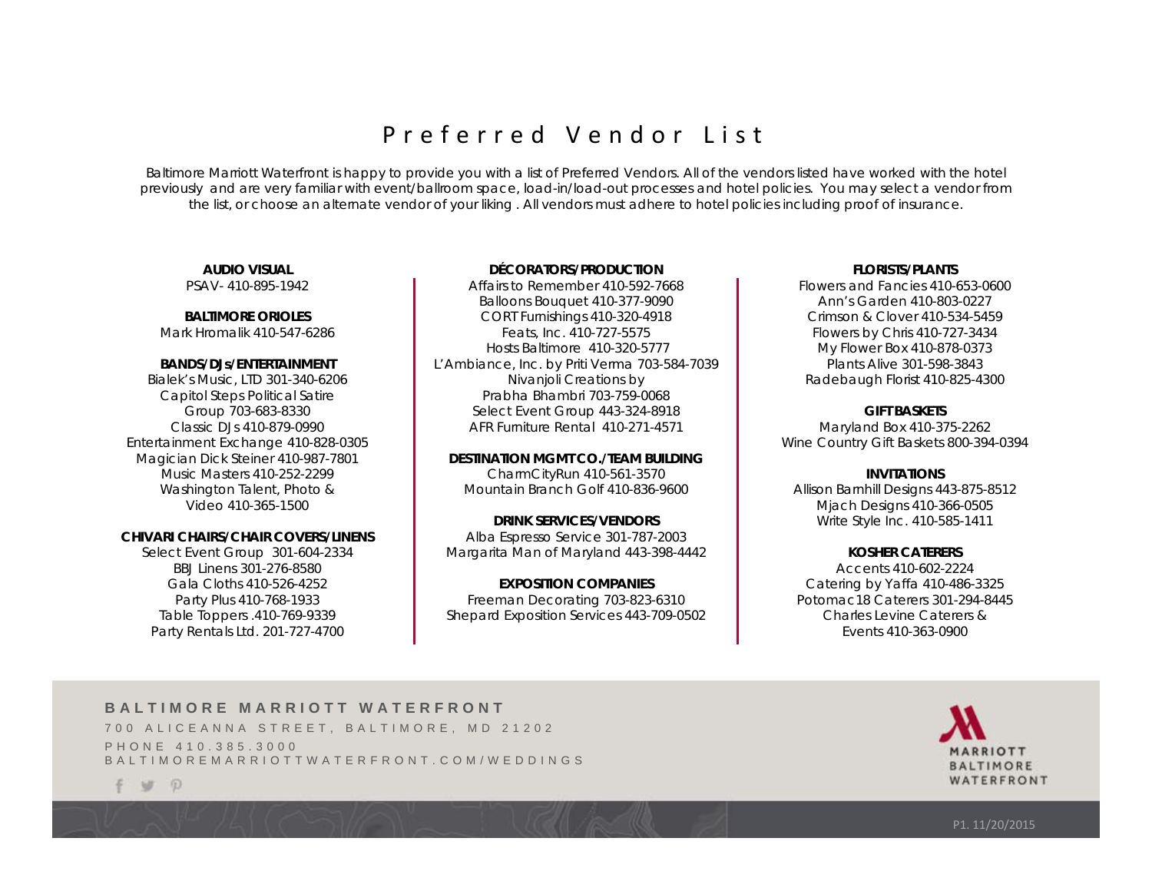# Preferred Vendor List

Baltimore Marriott Waterfront is happy to provide you with a list of Preferred Vendors. All of the vendors listed have worked with the hotel previously and are very familiar with event/ballroom space, load-in/load-out processes and hotel policies. You may select a vendor from the list, or choose an alternate vendor of your liking . All vendors must adhere to hotel policies including proof of insurance.

#### **AUDIO VISUAL** PSAV- 410-895-1942

**BALTIMORE ORIOLES**Mark Hromalik 410-547-6286

### **BANDS/DJs/ENTERTAINMENT**

Bialek's Music, LTD 301-340-6206 Capitol Steps Political Satire Group 703-683-8330 Classic DJs 410-879-0990 Entertainment Exchange 410-828-0305 Magician Dick Steiner 410-987-7801 Music Masters 410-252-2299 Washington Talent, Photo & Video 410-365-1500

# **CHIVARI CHAIRS/CHAIR COVERS/LINENS**

Select Event Group 301-604-2334 BBJ Linens 301-276-8580 Gala Cloths 410-526-4252 Party Plus 410-768-1933 Table Toppers .410-769-9339 Party Rentals Ltd. 201-727-4700

### **DÉCORATORS/PRODUCTION**

Affairs to Remember 410-592-7668 Balloons Bouquet 410-377-9090 CORT Furnishings 410-320-4918 Feats, Inc. 410-727-5575 Hosts Baltimore 410-320-5777 L'Ambiance, Inc. by Priti Verma 703-584-7039 Nivanjoli Creations by Prabha Bhambri 703-759-0068Select Event Group 443-324-8918 AFR Furniture Rental 410-271-4571

### **DESTINATION MGMT CO./TEAM BUILDING**

CharmCityRun 410-561-3570 Mountain Branch Golf 410-836-9600

# **DRINK SERVICES/VENDORS** Alba Espresso Service 301-787-2003 Margarita Man of Maryland 443-398-4442

**EXPOSITION COMPANIES** Freeman Decorating 703-823-6310 Shepard Exposition Services 443-709-0502

### **FLORISTS/PLANTS**

Flowers and Fancies 410-653-0600 Ann's Garden 410-803-0227 Crimson & Clover 410-534-5459 Flowers by Chris 410-727-3434 My Flower Box 410-878-0373 Plants Alive 301-598-3843 Radebaugh Florist 410-825-4300

# **GIFT BASKETS**

Maryland Box 410-375-2262 Wine Country Gift Baskets 800-394-0394

**INVITATIONS** Allison Barnhill Designs 443-875-8512 Mjach Designs 410-366-0505 Write Style Inc. 410-585-1411

# **KOSHER CATERERS**

Accents 410-602-2224Catering by Yaffa 410-486-3325 Potomac18 Caterers 301-294-8445 Charles Levine Caterers & Events 410-363-0900

# **BALTIMORE MARRIOTT WATERFRONT**

[700 ALICEANNA STREET, BALTIMORE, MD 21202](www.baltimoremarriottwaterfront.com) PHONE 410.385.3000 BALTIMOREMARRIOTTWATERFRONT.COM/WEDDINGS



 $\mathbb{D}$